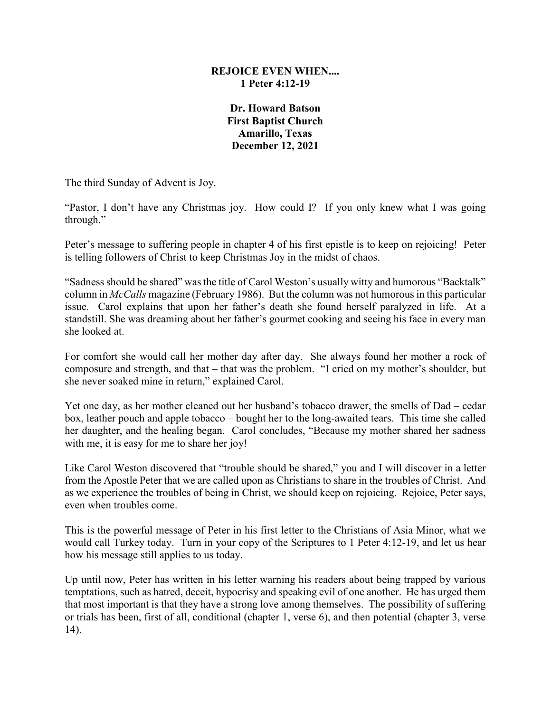## **REJOICE EVEN WHEN.... 1 Peter 4:12-19**

**Dr. Howard Batson First Baptist Church Amarillo, Texas December 12, 2021**

The third Sunday of Advent is Joy.

"Pastor, I don't have any Christmas joy. How could I? If you only knew what I was going through."

Peter's message to suffering people in chapter 4 of his first epistle is to keep on rejoicing! Peter is telling followers of Christ to keep Christmas Joy in the midst of chaos.

"Sadness should be shared" was the title of Carol Weston's usually witty and humorous "Backtalk" column in *McCalls* magazine (February 1986). But the column was not humorous in this particular issue. Carol explains that upon her father's death she found herself paralyzed in life. At a standstill. She was dreaming about her father's gourmet cooking and seeing his face in every man she looked at.

For comfort she would call her mother day after day. She always found her mother a rock of composure and strength, and that – that was the problem. "I cried on my mother's shoulder, but she never soaked mine in return," explained Carol.

Yet one day, as her mother cleaned out her husband's tobacco drawer, the smells of Dad – cedar box, leather pouch and apple tobacco – bought her to the long-awaited tears. This time she called her daughter, and the healing began. Carol concludes, "Because my mother shared her sadness with me, it is easy for me to share her joy!

Like Carol Weston discovered that "trouble should be shared," you and I will discover in a letter from the Apostle Peter that we are called upon as Christians to share in the troubles of Christ. And as we experience the troubles of being in Christ, we should keep on rejoicing. Rejoice, Peter says, even when troubles come.

This is the powerful message of Peter in his first letter to the Christians of Asia Minor, what we would call Turkey today. Turn in your copy of the Scriptures to 1 Peter 4:12-19, and let us hear how his message still applies to us today.

Up until now, Peter has written in his letter warning his readers about being trapped by various temptations, such as hatred, deceit, hypocrisy and speaking evil of one another. He has urged them that most important is that they have a strong love among themselves. The possibility of suffering or trials has been, first of all, conditional (chapter 1, verse 6), and then potential (chapter 3, verse 14).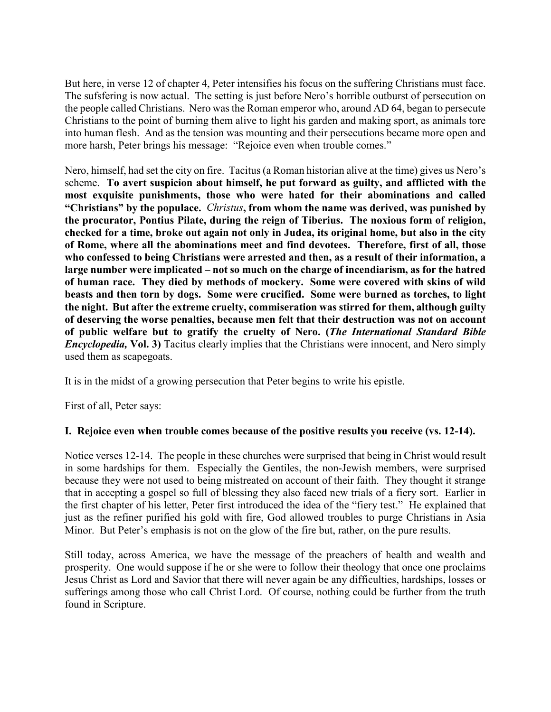But here, in verse 12 of chapter 4, Peter intensifies his focus on the suffering Christians must face. The sufsfering is now actual. The setting is just before Nero's horrible outburst of persecution on the people called Christians. Nero was the Roman emperor who, around AD 64, began to persecute Christians to the point of burning them alive to light his garden and making sport, as animals tore into human flesh. And as the tension was mounting and their persecutions became more open and more harsh, Peter brings his message: "Rejoice even when trouble comes."

Nero, himself, had set the city on fire. Tacitus (a Roman historian alive at the time) gives us Nero's scheme. **To avert suspicion about himself, he put forward as guilty, and afflicted with the most exquisite punishments, those who were hated for their abominations and called "Christians" by the populace.** *Christus***, from whom the name was derived, was punished by the procurator, Pontius Pilate, during the reign of Tiberius. The noxious form of religion, checked for a time, broke out again not only in Judea, its original home, but also in the city of Rome, where all the abominations meet and find devotees. Therefore, first of all, those who confessed to being Christians were arrested and then, as a result of their information, a large number were implicated – not so much on the charge of incendiarism, as for the hatred of human race. They died by methods of mockery. Some were covered with skins of wild beasts and then torn by dogs. Some were crucified. Some were burned as torches, to light the night. But after the extreme cruelty, commiseration was stirred for them, although guilty of deserving the worse penalties, because men felt that their destruction was not on account of public welfare but to gratify the cruelty of Nero. (***The International Standard Bible Encyclopedia,* **Vol. 3)** Tacitus clearly implies that the Christians were innocent, and Nero simply used them as scapegoats.

It is in the midst of a growing persecution that Peter begins to write his epistle.

First of all, Peter says:

## **I. Rejoice even when trouble comes because of the positive results you receive (vs. 12-14).**

Notice verses 12-14. The people in these churches were surprised that being in Christ would result in some hardships for them. Especially the Gentiles, the non-Jewish members, were surprised because they were not used to being mistreated on account of their faith. They thought it strange that in accepting a gospel so full of blessing they also faced new trials of a fiery sort. Earlier in the first chapter of his letter, Peter first introduced the idea of the "fiery test." He explained that just as the refiner purified his gold with fire, God allowed troubles to purge Christians in Asia Minor. But Peter's emphasis is not on the glow of the fire but, rather, on the pure results.

Still today, across America, we have the message of the preachers of health and wealth and prosperity. One would suppose if he or she were to follow their theology that once one proclaims Jesus Christ as Lord and Savior that there will never again be any difficulties, hardships, losses or sufferings among those who call Christ Lord. Of course, nothing could be further from the truth found in Scripture.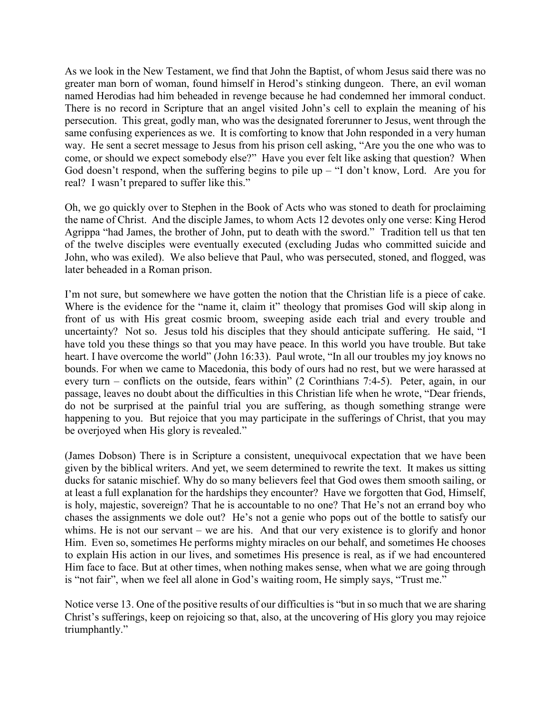As we look in the New Testament, we find that John the Baptist, of whom Jesus said there was no greater man born of woman, found himself in Herod's stinking dungeon. There, an evil woman named Herodias had him beheaded in revenge because he had condemned her immoral conduct. There is no record in Scripture that an angel visited John's cell to explain the meaning of his persecution. This great, godly man, who was the designated forerunner to Jesus, went through the same confusing experiences as we. It is comforting to know that John responded in a very human way. He sent a secret message to Jesus from his prison cell asking, "Are you the one who was to come, or should we expect somebody else?" Have you ever felt like asking that question? When God doesn't respond, when the suffering begins to pile up  $-$  "I don't know, Lord. Are you for real? I wasn't prepared to suffer like this."

Oh, we go quickly over to Stephen in the Book of Acts who was stoned to death for proclaiming the name of Christ. And the disciple James, to whom Acts 12 devotes only one verse: King Herod Agrippa "had James, the brother of John, put to death with the sword." Tradition tell us that ten of the twelve disciples were eventually executed (excluding Judas who committed suicide and John, who was exiled). We also believe that Paul, who was persecuted, stoned, and flogged, was later beheaded in a Roman prison.

I'm not sure, but somewhere we have gotten the notion that the Christian life is a piece of cake. Where is the evidence for the "name it, claim it" theology that promises God will skip along in front of us with His great cosmic broom, sweeping aside each trial and every trouble and uncertainty? Not so. Jesus told his disciples that they should anticipate suffering. He said, "I have told you these things so that you may have peace. In this world you have trouble. But take heart. I have overcome the world" (John 16:33). Paul wrote, "In all our troubles my joy knows no bounds. For when we came to Macedonia, this body of ours had no rest, but we were harassed at every turn – conflicts on the outside, fears within" (2 Corinthians 7:4-5). Peter, again, in our passage, leaves no doubt about the difficulties in this Christian life when he wrote, "Dear friends, do not be surprised at the painful trial you are suffering, as though something strange were happening to you. But rejoice that you may participate in the sufferings of Christ, that you may be overjoyed when His glory is revealed."

(James Dobson) There is in Scripture a consistent, unequivocal expectation that we have been given by the biblical writers. And yet, we seem determined to rewrite the text. It makes us sitting ducks for satanic mischief. Why do so many believers feel that God owes them smooth sailing, or at least a full explanation for the hardships they encounter? Have we forgotten that God, Himself, is holy, majestic, sovereign? That he is accountable to no one? That He's not an errand boy who chases the assignments we dole out? He's not a genie who pops out of the bottle to satisfy our whims. He is not our servant – we are his. And that our very existence is to glorify and honor Him. Even so, sometimes He performs mighty miracles on our behalf, and sometimes He chooses to explain His action in our lives, and sometimes His presence is real, as if we had encountered Him face to face. But at other times, when nothing makes sense, when what we are going through is "not fair", when we feel all alone in God's waiting room, He simply says, "Trust me."

Notice verse 13. One of the positive results of our difficulties is "but in so much that we are sharing Christ's sufferings, keep on rejoicing so that, also, at the uncovering of His glory you may rejoice triumphantly."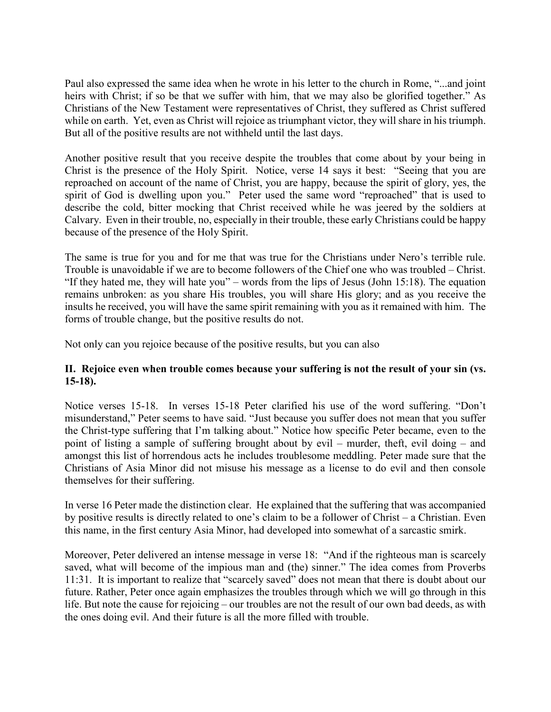Paul also expressed the same idea when he wrote in his letter to the church in Rome, "...and joint heirs with Christ; if so be that we suffer with him, that we may also be glorified together." As Christians of the New Testament were representatives of Christ, they suffered as Christ suffered while on earth. Yet, even as Christ will rejoice as triumphant victor, they will share in his triumph. But all of the positive results are not withheld until the last days.

Another positive result that you receive despite the troubles that come about by your being in Christ is the presence of the Holy Spirit. Notice, verse 14 says it best: "Seeing that you are reproached on account of the name of Christ, you are happy, because the spirit of glory, yes, the spirit of God is dwelling upon you." Peter used the same word "reproached" that is used to describe the cold, bitter mocking that Christ received while he was jeered by the soldiers at Calvary. Even in their trouble, no, especially in their trouble, these early Christians could be happy because of the presence of the Holy Spirit.

The same is true for you and for me that was true for the Christians under Nero's terrible rule. Trouble is unavoidable if we are to become followers of the Chief one who was troubled – Christ. "If they hated me, they will hate you" – words from the lips of Jesus (John 15:18). The equation remains unbroken: as you share His troubles, you will share His glory; and as you receive the insults he received, you will have the same spirit remaining with you as it remained with him. The forms of trouble change, but the positive results do not.

Not only can you rejoice because of the positive results, but you can also

## **II. Rejoice even when trouble comes because your suffering is not the result of your sin (vs. 15-18).**

Notice verses 15-18. In verses 15-18 Peter clarified his use of the word suffering. "Don't misunderstand," Peter seems to have said. "Just because you suffer does not mean that you suffer the Christ-type suffering that I'm talking about." Notice how specific Peter became, even to the point of listing a sample of suffering brought about by evil – murder, theft, evil doing – and amongst this list of horrendous acts he includes troublesome meddling. Peter made sure that the Christians of Asia Minor did not misuse his message as a license to do evil and then console themselves for their suffering.

In verse 16 Peter made the distinction clear. He explained that the suffering that was accompanied by positive results is directly related to one's claim to be a follower of Christ – a Christian. Even this name, in the first century Asia Minor, had developed into somewhat of a sarcastic smirk.

Moreover, Peter delivered an intense message in verse 18: "And if the righteous man is scarcely saved, what will become of the impious man and (the) sinner." The idea comes from Proverbs 11:31. It is important to realize that "scarcely saved" does not mean that there is doubt about our future. Rather, Peter once again emphasizes the troubles through which we will go through in this life. But note the cause for rejoicing – our troubles are not the result of our own bad deeds, as with the ones doing evil. And their future is all the more filled with trouble.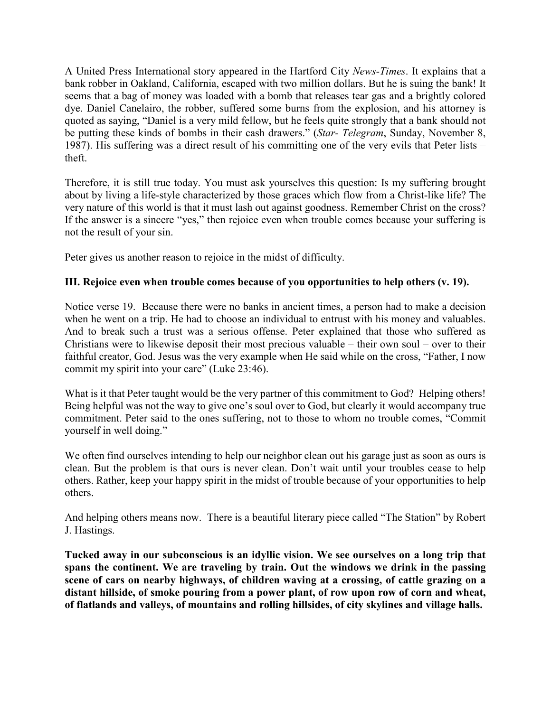A United Press International story appeared in the Hartford City *News-Times*. It explains that a bank robber in Oakland, California, escaped with two million dollars. But he is suing the bank! It seems that a bag of money was loaded with a bomb that releases tear gas and a brightly colored dye. Daniel Canelairo, the robber, suffered some burns from the explosion, and his attorney is quoted as saying, "Daniel is a very mild fellow, but he feels quite strongly that a bank should not be putting these kinds of bombs in their cash drawers." (*Star- Telegram*, Sunday, November 8, 1987). His suffering was a direct result of his committing one of the very evils that Peter lists – theft.

Therefore, it is still true today. You must ask yourselves this question: Is my suffering brought about by living a life-style characterized by those graces which flow from a Christ-like life? The very nature of this world is that it must lash out against goodness. Remember Christ on the cross? If the answer is a sincere "yes," then rejoice even when trouble comes because your suffering is not the result of your sin.

Peter gives us another reason to rejoice in the midst of difficulty.

## **III. Rejoice even when trouble comes because of you opportunities to help others (v. 19).**

Notice verse 19. Because there were no banks in ancient times, a person had to make a decision when he went on a trip. He had to choose an individual to entrust with his money and valuables. And to break such a trust was a serious offense. Peter explained that those who suffered as Christians were to likewise deposit their most precious valuable – their own soul – over to their faithful creator, God. Jesus was the very example when He said while on the cross, "Father, I now commit my spirit into your care" (Luke 23:46).

What is it that Peter taught would be the very partner of this commitment to God? Helping others! Being helpful was not the way to give one's soul over to God, but clearly it would accompany true commitment. Peter said to the ones suffering, not to those to whom no trouble comes, "Commit yourself in well doing."

We often find ourselves intending to help our neighbor clean out his garage just as soon as ours is clean. But the problem is that ours is never clean. Don't wait until your troubles cease to help others. Rather, keep your happy spirit in the midst of trouble because of your opportunities to help others.

And helping others means now. There is a beautiful literary piece called "The Station" by Robert J. Hastings.

**Tucked away in our subconscious is an idyllic vision. We see ourselves on a long trip that spans the continent. We are traveling by train. Out the windows we drink in the passing scene of cars on nearby highways, of children waving at a crossing, of cattle grazing on a distant hillside, of smoke pouring from a power plant, of row upon row of corn and wheat, of flatlands and valleys, of mountains and rolling hillsides, of city skylines and village halls.**